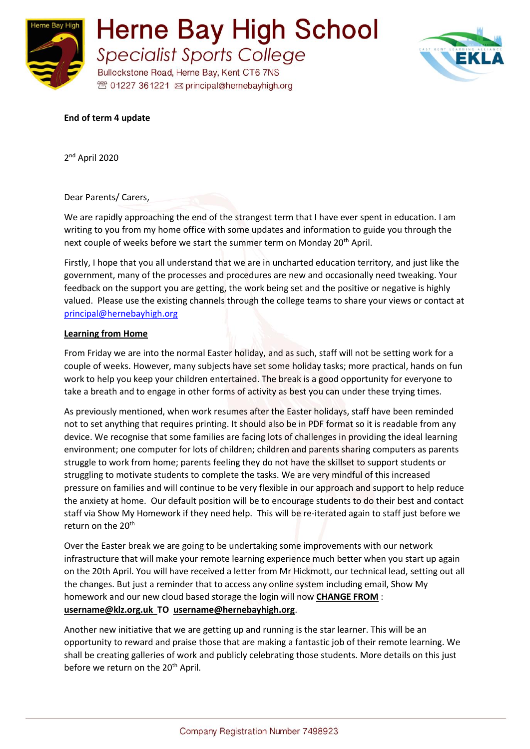



#### **End of term 4 update**

2 nd April 2020

Dear Parents/ Carers,

We are rapidly approaching the end of the strangest term that I have ever spent in education. I am writing to you from my home office with some updates and information to guide you through the next couple of weeks before we start the summer term on Monday 20<sup>th</sup> April.

Firstly, I hope that you all understand that we are in uncharted education territory, and just like the government, many of the processes and procedures are new and occasionally need tweaking. Your feedback on the support you are getting, the work being set and the positive or negative is highly valued. Please use the existing channels through the college teams to share your views or contact at [principal@hernebayhigh.org](mailto:principal@hernebayhigh.org)

#### **Learning from Home**

From Friday we are into the normal Easter holiday, and as such, staff will not be setting work for a couple of weeks. However, many subjects have set some holiday tasks; more practical, hands on fun work to help you keep your children entertained. The break is a good opportunity for everyone to take a breath and to engage in other forms of activity as best you can under these trying times.

As previously mentioned, when work resumes after the Easter holidays, staff have been reminded not to set anything that requires printing. It should also be in PDF format so it is readable from any device. We recognise that some families are facing lots of challenges in providing the ideal learning environment; one computer for lots of children; children and parents sharing computers as parents struggle to work from home; parents feeling they do not have the skillset to support students or struggling to motivate students to complete the tasks. We are very mindful of this increased pressure on families and will continue to be very flexible in our approach and support to help reduce the anxiety at home. Our default position will be to encourage students to do their best and contact staff via Show My Homework if they need help. This will be re-iterated again to staff just before we return on the 20<sup>th</sup>

Over the Easter break we are going to be undertaking some improvements with our network infrastructure that will make your remote learning experience much better when you start up again on the 20th April. You will have received a letter from Mr Hickmott, our technical lead, setting out all the changes. But just a reminder that to access any online system including email, Show My homework and our new cloud based storage the login will now **CHANGE FROM** : **username@klz.org.uk TO username@hernebayhigh.org**.

Another new initiative that we are getting up and running is the star learner. This will be an opportunity to reward and praise those that are making a fantastic job of their remote learning. We shall be creating galleries of work and publicly celebrating those students. More details on this just before we return on the 20<sup>th</sup> April.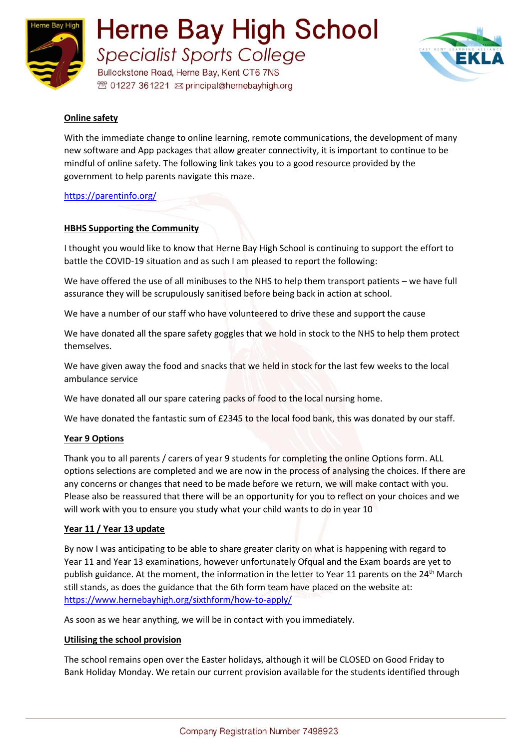

**Herne Bay High School Specialist Sports College** 

Bullockstone Road, Herne Bay, Kent CT6 7NS <sup>®</sup> 01227 361221 <br> principal@hernebayhigh.org



# **Online safety**

With the immediate change to online learning, remote communications, the development of many new software and App packages that allow greater connectivity, it is important to continue to be mindful of online safety. The following link takes you to a good resource provided by the government to help parents navigate this maze.

<https://parentinfo.org/>

### **HBHS Supporting the Community**

I thought you would like to know that Herne Bay High School is continuing to support the effort to battle the COVID-19 situation and as such I am pleased to report the following:

We have offered the use of all minibuses to the NHS to help them transport patients – we have full assurance they will be scrupulously sanitised before being back in action at school.

We have a number of our staff who have volunteered to drive these and support the cause

We have donated all the spare safety goggles that we hold in stock to the NHS to help them protect themselves.

We have given away the food and snacks that we held in stock for the last few weeks to the local ambulance service

We have donated all our spare catering packs of food to the local nursing home.

We have donated the fantastic sum of £2345 to the local food bank, this was donated by our staff.

#### **Year 9 Options**

Thank you to all parents / carers of year 9 students for completing the online Options form. ALL options selections are completed and we are now in the process of analysing the choices. If there are any concerns or changes that need to be made before we return, we will make contact with you. Please also be reassured that there will be an opportunity for you to reflect on your choices and we will work with you to ensure you study what your child wants to do in year 10

#### **Year 11 / Year 13 update**

By now I was anticipating to be able to share greater clarity on what is happening with regard to Year 11 and Year 13 examinations, however unfortunately Ofqual and the Exam boards are yet to publish guidance. At the moment, the information in the letter to Year 11 parents on the 24<sup>th</sup> March still stands, as does the guidance that the 6th form team have placed on the website at: <https://www.hernebayhigh.org/sixthform/how-to-apply/>

As soon as we hear anything, we will be in contact with you immediately.

#### **Utilising the school provision**

The school remains open over the Easter holidays, although it will be CLOSED on Good Friday to Bank Holiday Monday. We retain our current provision available for the students identified through